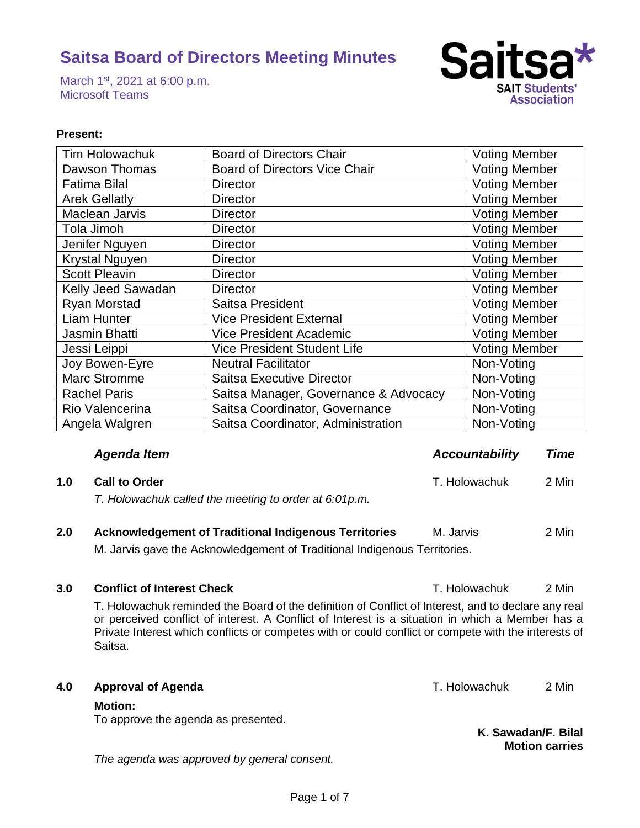March 1<sup>st</sup>, 2021 at 6:00 p.m. Microsoft Teams



## **Present:**

| Tim Holowachuk        | <b>Board of Directors Chair</b>       | <b>Voting Member</b> |
|-----------------------|---------------------------------------|----------------------|
| Dawson Thomas         | <b>Board of Directors Vice Chair</b>  | <b>Voting Member</b> |
| <b>Fatima Bilal</b>   | <b>Director</b>                       | <b>Voting Member</b> |
| <b>Arek Gellatly</b>  | <b>Director</b>                       | <b>Voting Member</b> |
| Maclean Jarvis        | <b>Director</b>                       | <b>Voting Member</b> |
| Tola Jimoh            | <b>Director</b>                       | <b>Voting Member</b> |
| Jenifer Nguyen        | <b>Director</b>                       | <b>Voting Member</b> |
| <b>Krystal Nguyen</b> | <b>Director</b>                       | <b>Voting Member</b> |
| <b>Scott Pleavin</b>  | <b>Director</b>                       | <b>Voting Member</b> |
| Kelly Jeed Sawadan    | <b>Director</b>                       | <b>Voting Member</b> |
| <b>Ryan Morstad</b>   | Saitsa President                      | <b>Voting Member</b> |
| Liam Hunter           | <b>Vice President External</b>        | <b>Voting Member</b> |
| Jasmin Bhatti         | <b>Vice President Academic</b>        | <b>Voting Member</b> |
| Jessi Leippi          | <b>Vice President Student Life</b>    | <b>Voting Member</b> |
| Joy Bowen-Eyre        | <b>Neutral Facilitator</b>            | Non-Voting           |
| <b>Marc Stromme</b>   | <b>Saitsa Executive Director</b>      | Non-Voting           |
| <b>Rachel Paris</b>   | Saitsa Manager, Governance & Advocacy | Non-Voting           |
| Rio Valencerina       | Saitsa Coordinator, Governance        | Non-Voting           |
| Angela Walgren        | Saitsa Coordinator, Administration    | Non-Voting           |

| <b>Agenda Item</b> | <b>Accountability</b> | Time |
|--------------------|-----------------------|------|
|                    |                       |      |

# **1.0 Call to Order** T. Holowachuk 2 Min *T. Holowachuk called the meeting to order at 6:01p.m.*

# **2.0 Acknowledgement of Traditional Indigenous Territories M. Jarvis 2 Min**

M. Jarvis gave the Acknowledgement of Traditional Indigenous Territories.

## **3.0 Conflict of Interest Check** T. Holowachuk 2 Min

T. Holowachuk reminded the Board of the definition of Conflict of Interest, and to declare any real or perceived conflict of interest. A Conflict of Interest is a situation in which a Member has a Private Interest which conflicts or competes with or could conflict or compete with the interests of Saitsa.

## **4.0 Approval of Agenda All and Secure 2 Minutes 2 Minutes Approval of Agenda T. Holowachuk** 2 Minutes

## **Motion:**

To approve the agenda as presented.

*The agenda was approved by general consent.* 

**K. Sawadan/F. Bilal Motion carries**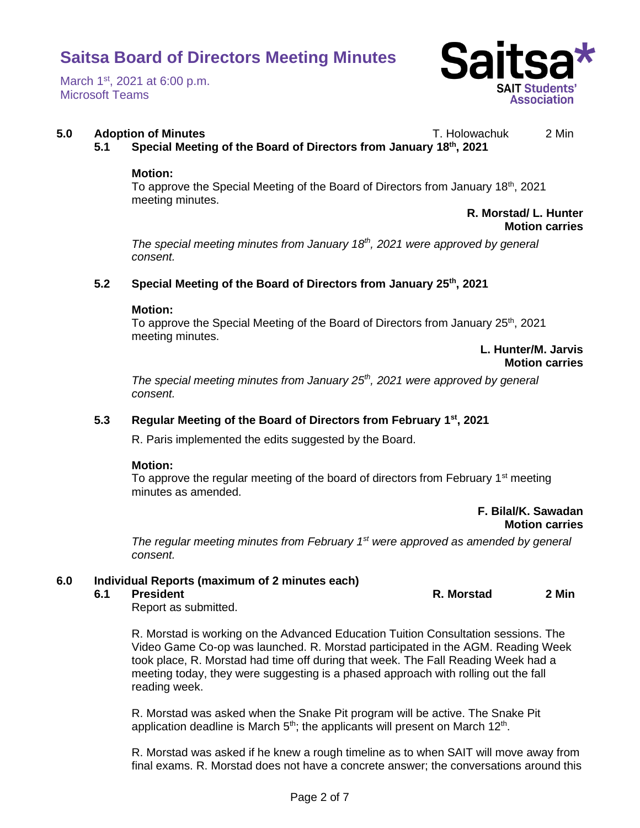March 1<sup>st</sup>, 2021 at 6:00 p.m. Microsoft Teams



## **5.0 Adoption of Minutes** T. Holowachuk 2 Min

**5.1 Special Meeting of the Board of Directors from January 18th, 2021**

### **Motion:**

To approve the Special Meeting of the Board of Directors from January 18<sup>th</sup>, 2021 meeting minutes.

## **R. Morstad/ L. Hunter Motion carries**

*The special meeting minutes from January 18th, 2021 were approved by general consent.* 

## **5.2 Special Meeting of the Board of Directors from January 25th, 2021**

### **Motion:**

To approve the Special Meeting of the Board of Directors from January 25<sup>th</sup>, 2021 meeting minutes.

## **L. Hunter/M. Jarvis Motion carries**

*The special meeting minutes from January 25th, 2021 were approved by general consent.* 

## **5.3 Regular Meeting of the Board of Directors from February 1st, 2021**

R. Paris implemented the edits suggested by the Board.

## **Motion:**

To approve the regular meeting of the board of directors from February 1<sup>st</sup> meeting minutes as amended.

## **F. Bilal/K. Sawadan Motion carries**

*The regular meeting minutes from February 1st were approved as amended by general consent.*

## **6.0 Individual Reports (maximum of 2 minutes each)**

## **6.1 President R. Morstad 2 Min**

Report as submitted.

R. Morstad is working on the Advanced Education Tuition Consultation sessions. The Video Game Co-op was launched. R. Morstad participated in the AGM. Reading Week took place, R. Morstad had time off during that week. The Fall Reading Week had a meeting today, they were suggesting is a phased approach with rolling out the fall reading week.

R. Morstad was asked when the Snake Pit program will be active. The Snake Pit application deadline is March  $5<sup>th</sup>$ ; the applicants will present on March 12<sup>th</sup>.

R. Morstad was asked if he knew a rough timeline as to when SAIT will move away from final exams. R. Morstad does not have a concrete answer; the conversations around this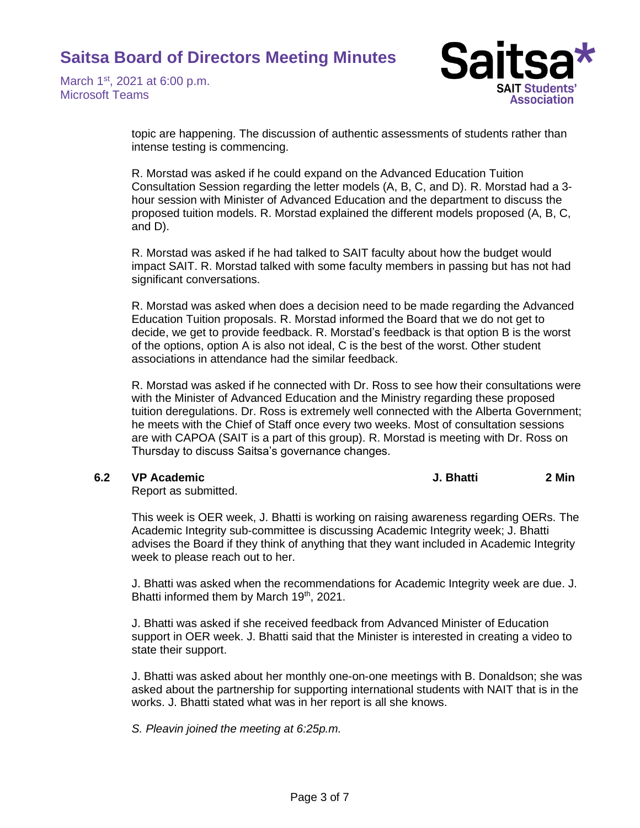March 1<sup>st</sup>, 2021 at 6:00 p.m. Microsoft Teams



topic are happening. The discussion of authentic assessments of students rather than intense testing is commencing.

R. Morstad was asked if he could expand on the Advanced Education Tuition Consultation Session regarding the letter models (A, B, C, and D). R. Morstad had a 3 hour session with Minister of Advanced Education and the department to discuss the proposed tuition models. R. Morstad explained the different models proposed (A, B, C, and D).

R. Morstad was asked if he had talked to SAIT faculty about how the budget would impact SAIT. R. Morstad talked with some faculty members in passing but has not had significant conversations.

R. Morstad was asked when does a decision need to be made regarding the Advanced Education Tuition proposals. R. Morstad informed the Board that we do not get to decide, we get to provide feedback. R. Morstad's feedback is that option B is the worst of the options, option A is also not ideal, C is the best of the worst. Other student associations in attendance had the similar feedback.

R. Morstad was asked if he connected with Dr. Ross to see how their consultations were with the Minister of Advanced Education and the Ministry regarding these proposed tuition deregulations. Dr. Ross is extremely well connected with the Alberta Government; he meets with the Chief of Staff once every two weeks. Most of consultation sessions are with CAPOA (SAIT is a part of this group). R. Morstad is meeting with Dr. Ross on Thursday to discuss Saitsa's governance changes.

**6.2 VP Academic J. Bhatti 2 Min**

Report as submitted.

This week is OER week, J. Bhatti is working on raising awareness regarding OERs. The Academic Integrity sub-committee is discussing Academic Integrity week; J. Bhatti advises the Board if they think of anything that they want included in Academic Integrity week to please reach out to her.

J. Bhatti was asked when the recommendations for Academic Integrity week are due. J. Bhatti informed them by March 19<sup>th</sup>, 2021.

J. Bhatti was asked if she received feedback from Advanced Minister of Education support in OER week. J. Bhatti said that the Minister is interested in creating a video to state their support.

J. Bhatti was asked about her monthly one-on-one meetings with B. Donaldson; she was asked about the partnership for supporting international students with NAIT that is in the works. J. Bhatti stated what was in her report is all she knows.

*S. Pleavin joined the meeting at 6:25p.m.*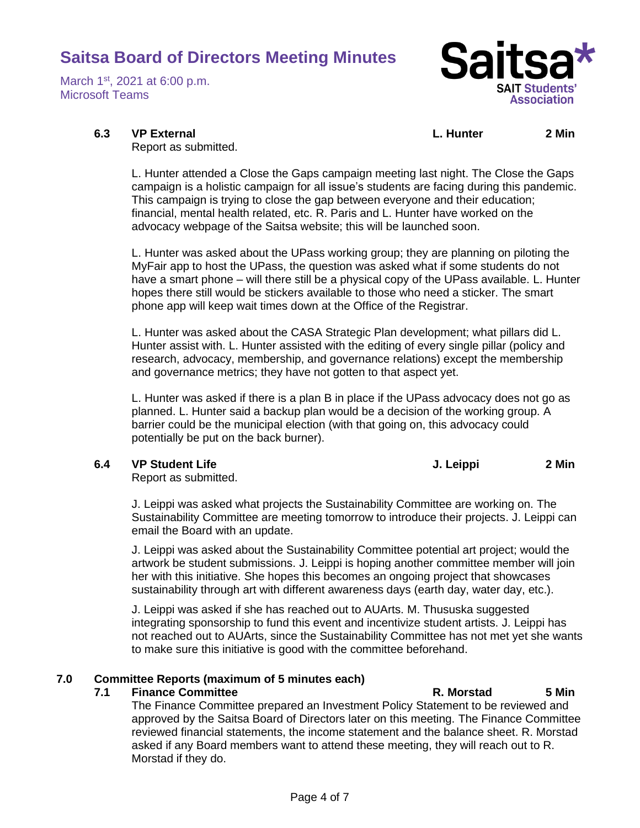March 1<sup>st</sup>, 2021 at 6:00 p.m. Microsoft Teams



**6.3 VP External L. Hunter 2 Min**

Report as submitted.

L. Hunter attended a Close the Gaps campaign meeting last night. The Close the Gaps campaign is a holistic campaign for all issue's students are facing during this pandemic. This campaign is trying to close the gap between everyone and their education; financial, mental health related, etc. R. Paris and L. Hunter have worked on the advocacy webpage of the Saitsa website; this will be launched soon.

L. Hunter was asked about the UPass working group; they are planning on piloting the MyFair app to host the UPass, the question was asked what if some students do not have a smart phone – will there still be a physical copy of the UPass available. L. Hunter hopes there still would be stickers available to those who need a sticker. The smart phone app will keep wait times down at the Office of the Registrar.

L. Hunter was asked about the CASA Strategic Plan development; what pillars did L. Hunter assist with. L. Hunter assisted with the editing of every single pillar (policy and research, advocacy, membership, and governance relations) except the membership and governance metrics; they have not gotten to that aspect yet.

L. Hunter was asked if there is a plan B in place if the UPass advocacy does not go as planned. L. Hunter said a backup plan would be a decision of the working group. A barrier could be the municipal election (with that going on, this advocacy could potentially be put on the back burner).

**6.4 VP Student Life J. Leippi 2 Min**

Report as submitted.

J. Leippi was asked what projects the Sustainability Committee are working on. The Sustainability Committee are meeting tomorrow to introduce their projects. J. Leippi can email the Board with an update.

J. Leippi was asked about the Sustainability Committee potential art project; would the artwork be student submissions. J. Leippi is hoping another committee member will join her with this initiative. She hopes this becomes an ongoing project that showcases sustainability through art with different awareness days (earth day, water day, etc.).

J. Leippi was asked if she has reached out to AUArts. M. Thususka suggested integrating sponsorship to fund this event and incentivize student artists. J. Leippi has not reached out to AUArts, since the Sustainability Committee has not met yet she wants to make sure this initiative is good with the committee beforehand.

# **7.0 Committee Reports (maximum of 5 minutes each)**

# **7.1 Finance Committee R. Morstad 5 Min**

The Finance Committee prepared an Investment Policy Statement to be reviewed and approved by the Saitsa Board of Directors later on this meeting. The Finance Committee reviewed financial statements, the income statement and the balance sheet. R. Morstad asked if any Board members want to attend these meeting, they will reach out to R. Morstad if they do.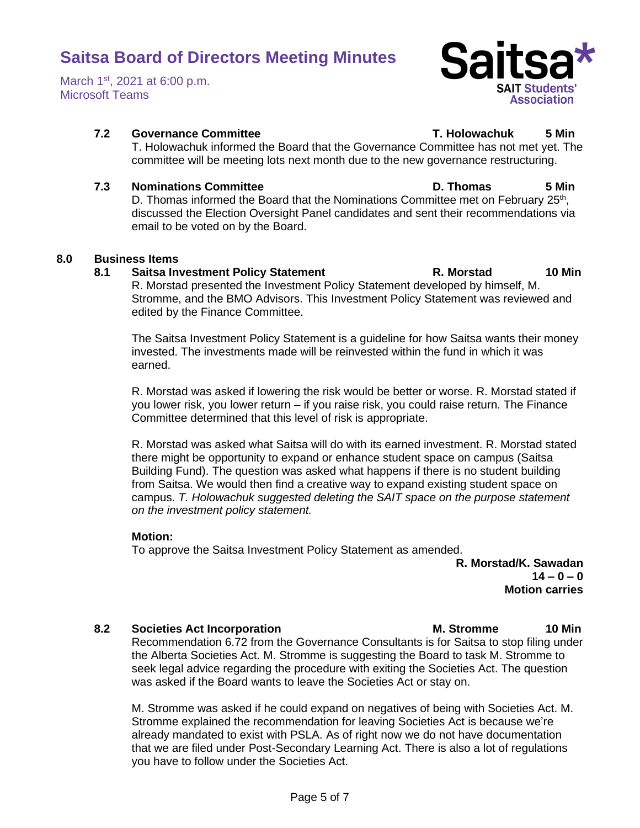March 1<sup>st</sup>, 2021 at 6:00 p.m. Microsoft Teams



D. Thomas informed the Board that the Nominations Committee met on February 25<sup>th</sup>, discussed the Election Oversight Panel candidates and sent their recommendations via email to be voted on by the Board.

committee will be meeting lots next month due to the new governance restructuring.

## **8.0 Business Items**

### **8.1 Saitsa Investment Policy Statement R. Morstad 10 Min**

R. Morstad presented the Investment Policy Statement developed by himself, M. Stromme, and the BMO Advisors. This Investment Policy Statement was reviewed and edited by the Finance Committee.

The Saitsa Investment Policy Statement is a guideline for how Saitsa wants their money invested. The investments made will be reinvested within the fund in which it was earned.

R. Morstad was asked if lowering the risk would be better or worse. R. Morstad stated if you lower risk, you lower return – if you raise risk, you could raise return. The Finance Committee determined that this level of risk is appropriate.

R. Morstad was asked what Saitsa will do with its earned investment. R. Morstad stated there might be opportunity to expand or enhance student space on campus (Saitsa Building Fund). The question was asked what happens if there is no student building from Saitsa. We would then find a creative way to expand existing student space on campus. *T. Holowachuk suggested deleting the SAIT space on the purpose statement on the investment policy statement.*

### **Motion:**

To approve the Saitsa Investment Policy Statement as amended.

**R. Morstad/K. Sawadan 14 – 0 – 0 Motion carries**

## **8.2 Societies Act Incorporation M. Stromme 10 Min**

Recommendation 6.72 from the Governance Consultants is for Saitsa to stop filing under the Alberta Societies Act. M. Stromme is suggesting the Board to task M. Stromme to seek legal advice regarding the procedure with exiting the Societies Act. The question was asked if the Board wants to leave the Societies Act or stay on.

M. Stromme was asked if he could expand on negatives of being with Societies Act. M. Stromme explained the recommendation for leaving Societies Act is because we're already mandated to exist with PSLA. As of right now we do not have documentation that we are filed under Post-Secondary Learning Act. There is also a lot of regulations you have to follow under the Societies Act.

Sait **SAIT Students'** Association

### **7.2 Governance Committee T. Holowachuk 5 Min** T. Holowachuk informed the Board that the Governance Committee has not met yet. The

**7.3 Nominations Committee D. Thomas 5 Min**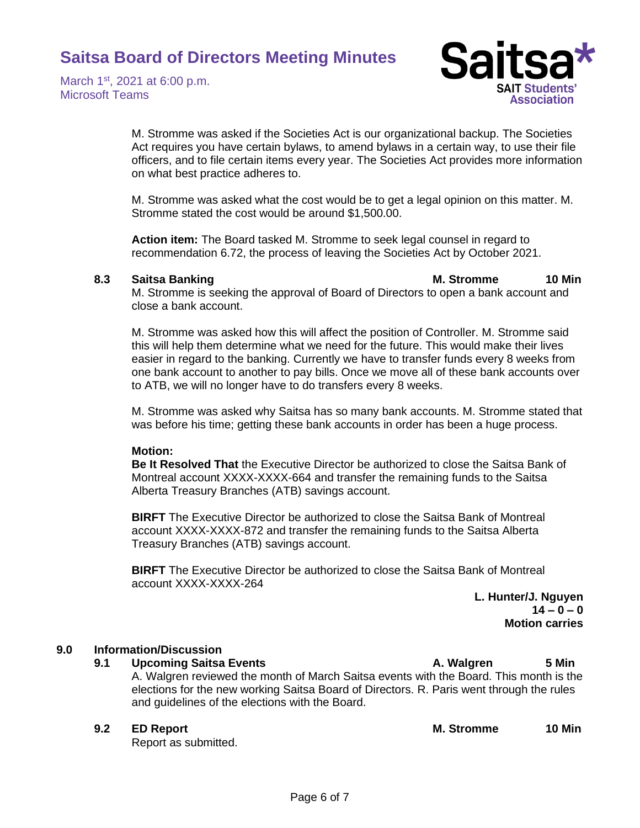March 1<sup>st</sup>, 2021 at 6:00 p.m. Microsoft Teams



M. Stromme was asked if the Societies Act is our organizational backup. The Societies Act requires you have certain bylaws, to amend bylaws in a certain way, to use their file officers, and to file certain items every year. The Societies Act provides more information on what best practice adheres to.

M. Stromme was asked what the cost would be to get a legal opinion on this matter. M. Stromme stated the cost would be around \$1,500.00.

**Action item:** The Board tasked M. Stromme to seek legal counsel in regard to recommendation 6.72, the process of leaving the Societies Act by October 2021.

### **8.3 Saitsa Banking M. Stromme 10 Min**

M. Stromme is seeking the approval of Board of Directors to open a bank account and close a bank account.

M. Stromme was asked how this will affect the position of Controller. M. Stromme said this will help them determine what we need for the future. This would make their lives easier in regard to the banking. Currently we have to transfer funds every 8 weeks from one bank account to another to pay bills. Once we move all of these bank accounts over to ATB, we will no longer have to do transfers every 8 weeks.

M. Stromme was asked why Saitsa has so many bank accounts. M. Stromme stated that was before his time; getting these bank accounts in order has been a huge process.

## **Motion:**

**Be It Resolved That** the Executive Director be authorized to close the Saitsa Bank of Montreal account XXXX-XXXX-664 and transfer the remaining funds to the Saitsa Alberta Treasury Branches (ATB) savings account.

**BIRFT** The Executive Director be authorized to close the Saitsa Bank of Montreal account XXXX-XXXX-872 and transfer the remaining funds to the Saitsa Alberta Treasury Branches (ATB) savings account.

**BIRFT** The Executive Director be authorized to close the Saitsa Bank of Montreal account XXXX-XXXX-264

> **L. Hunter/J. Nguyen 14 – 0 – 0 Motion carries**

## **9.0 Information/Discussion**

### **9.1 Upcoming Saitsa Events A. Walgren 5 Min**

A. Walgren reviewed the month of March Saitsa events with the Board. This month is the elections for the new working Saitsa Board of Directors. R. Paris went through the rules and guidelines of the elections with the Board.

## **9.2 ED Report M. Stromme 10 Min**

Report as submitted.